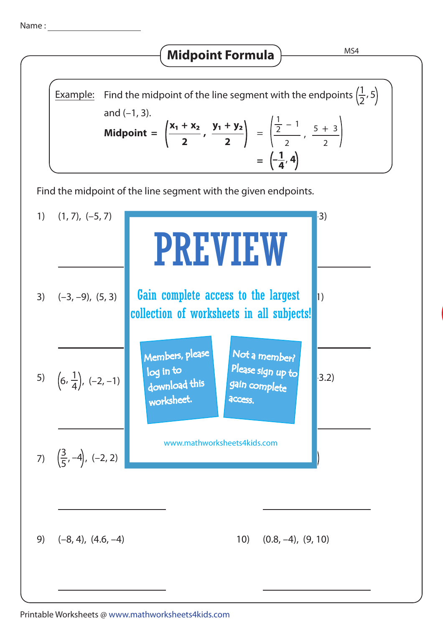